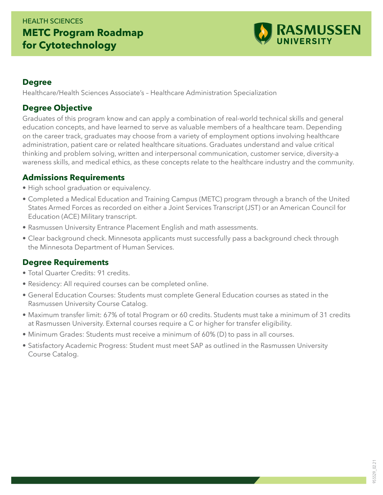## HEALTH SCIENCES **METC Program Roadmap for Cytotechnology**



#### **Degree**

Healthcare/Health Sciences Associate's – Healthcare Administration Specialization

### **Degree Objective**

Graduates of this program know and can apply a combination of real-world technical skills and general education concepts, and have learned to serve as valuable members of a healthcare team. Depending on the career track, graduates may choose from a variety of employment options involving healthcare administration, patient care or related healthcare situations. Graduates understand and value critical thinking and problem solving, written and interpersonal communication, customer service, diversity-a wareness skills, and medical ethics, as these concepts relate to the healthcare industry and the community.

#### **Admissions Requirements**

- High school graduation or equivalency.
- Completed a Medical Education and Training Campus (METC) program through a branch of the United States Armed Forces as recorded on either a Joint Services Transcript (JST) or an American Council for Education (ACE) Military transcript.
- Rasmussen University Entrance Placement English and math assessments.
- Clear background check. Minnesota applicants must successfully pass a background check through the Minnesota Department of Human Services.

### **Degree Requirements**

- Total Quarter Credits: 91 credits.
- Residency: All required courses can be completed online.
- General Education Courses: Students must complete General Education courses as stated in the Rasmussen University Course Catalog.
- Maximum transfer limit: 67% of total Program or 60 credits. Students must take a minimum of 31 credits at Rasmussen University. External courses require a C or higher for transfer eligibility.
- Minimum Grades: Students must receive a minimum of 60% (D) to pass in all courses.
- Satisfactory Academic Progress: Student must meet SAP as outlined in the Rasmussen University Course Catalog.